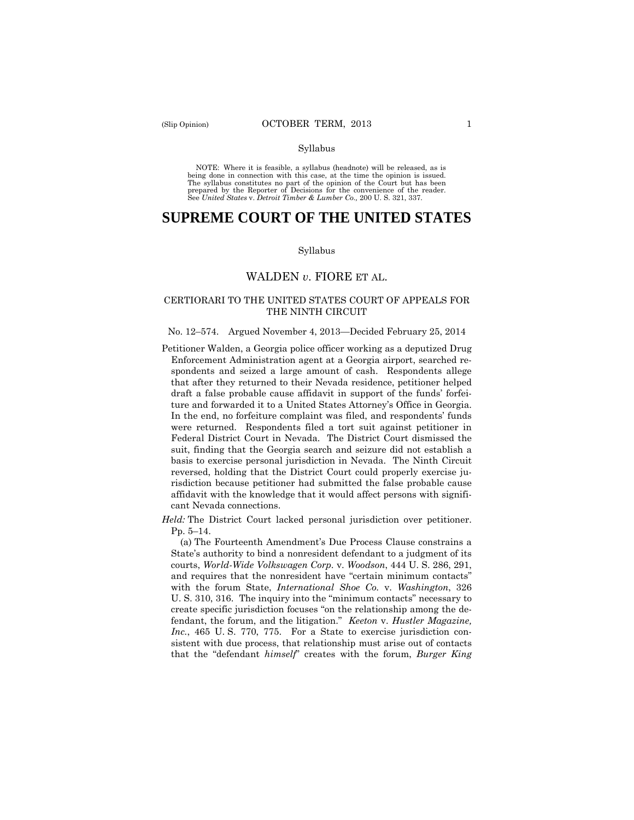#### Syllabus

 NOTE: Where it is feasible, a syllabus (headnote) will be released, as is being done in connection with this case, at the time the opinion is issued. The syllabus constitutes no part of the opinion of the Court but has been<br>prepared by the Reporter of Decisions for the convenience of the reader.<br>See United States v. Detroit Timber & Lumber Co., 200 U. S. 321, 337.

# **SUPREME COURT OF THE UNITED STATES**

#### Syllabus

# WALDEN *v*. FIORE ET AL.

## CERTIORARI TO THE UNITED STATES COURT OF APPEALS FOR THE NINTH CIRCUIT

### No. 12–574. Argued November 4, 2013—Decided February 25, 2014

- Petitioner Walden, a Georgia police officer working as a deputized Drug Enforcement Administration agent at a Georgia airport, searched respondents and seized a large amount of cash. Respondents allege that after they returned to their Nevada residence, petitioner helped draft a false probable cause affidavit in support of the funds' forfeiture and forwarded it to a United States Attorney's Office in Georgia. In the end, no forfeiture complaint was filed, and respondents' funds were returned. Respondents filed a tort suit against petitioner in Federal District Court in Nevada. The District Court dismissed the suit, finding that the Georgia search and seizure did not establish a basis to exercise personal jurisdiction in Nevada. The Ninth Circuit reversed, holding that the District Court could properly exercise jurisdiction because petitioner had submitted the false probable cause affidavit with the knowledge that it would affect persons with significant Nevada connections.
- *Held:* The District Court lacked personal jurisdiction over petitioner. Pp. 5–14.

(a) The Fourteenth Amendment's Due Process Clause constrains a State's authority to bind a nonresident defendant to a judgment of its courts, *World-Wide Volkswagen Corp.* v. *Woodson*, 444 U. S. 286, 291, and requires that the nonresident have "certain minimum contacts" with the forum State, *International Shoe Co.* v. *Washington*, 326 U. S. 310, 316. The inquiry into the "minimum contacts" necessary to create specific jurisdiction focuses "on the relationship among the defendant, the forum, and the litigation." *Keeton* v. *Hustler Magazine, Inc.*, 465 U. S. 770, 775. For a State to exercise jurisdiction consistent with due process, that relationship must arise out of contacts that the "defendant *himself*" creates with the forum, *Burger King*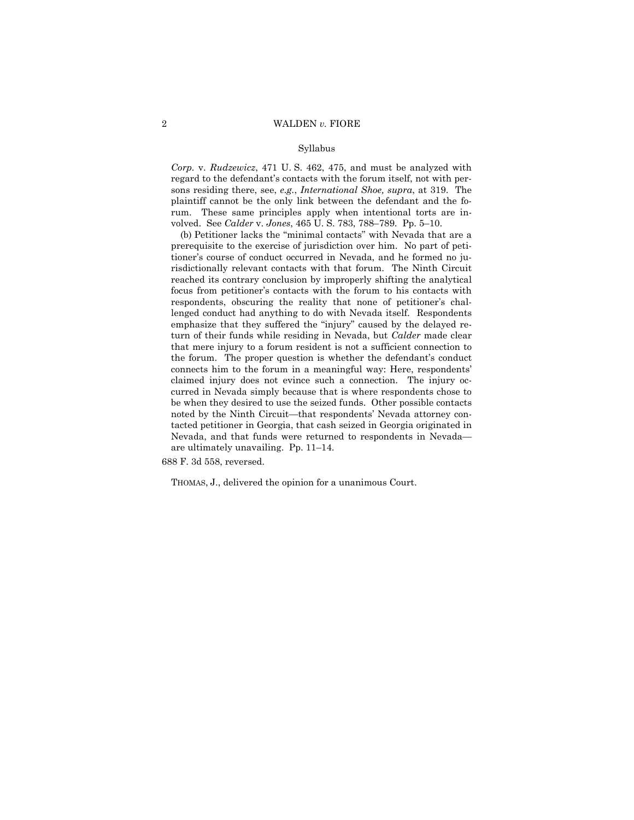#### Syllabus

*Corp.* v. *Rudzewicz*, 471 U. S. 462, 475, and must be analyzed with regard to the defendant's contacts with the forum itself, not with persons residing there, see, *e.g.*, *International Shoe, supra*, at 319. The plaintiff cannot be the only link between the defendant and the forum. These same principles apply when intentional torts are involved. See *Calder* v. *Jones*, 465 U. S. 783, 788–789. Pp. 5–10.

(b) Petitioner lacks the "minimal contacts" with Nevada that are a prerequisite to the exercise of jurisdiction over him. No part of petitioner's course of conduct occurred in Nevada, and he formed no jurisdictionally relevant contacts with that forum. The Ninth Circuit reached its contrary conclusion by improperly shifting the analytical focus from petitioner's contacts with the forum to his contacts with respondents, obscuring the reality that none of petitioner's challenged conduct had anything to do with Nevada itself. Respondents emphasize that they suffered the "injury" caused by the delayed return of their funds while residing in Nevada, but *Calder* made clear that mere injury to a forum resident is not a sufficient connection to the forum. The proper question is whether the defendant's conduct connects him to the forum in a meaningful way: Here, respondents' claimed injury does not evince such a connection. The injury occurred in Nevada simply because that is where respondents chose to be when they desired to use the seized funds. Other possible contacts noted by the Ninth Circuit—that respondents' Nevada attorney contacted petitioner in Georgia, that cash seized in Georgia originated in Nevada, and that funds were returned to respondents in Nevada are ultimately unavailing. Pp. 11–14.

688 F. 3d 558, reversed.

THOMAS, J., delivered the opinion for a unanimous Court.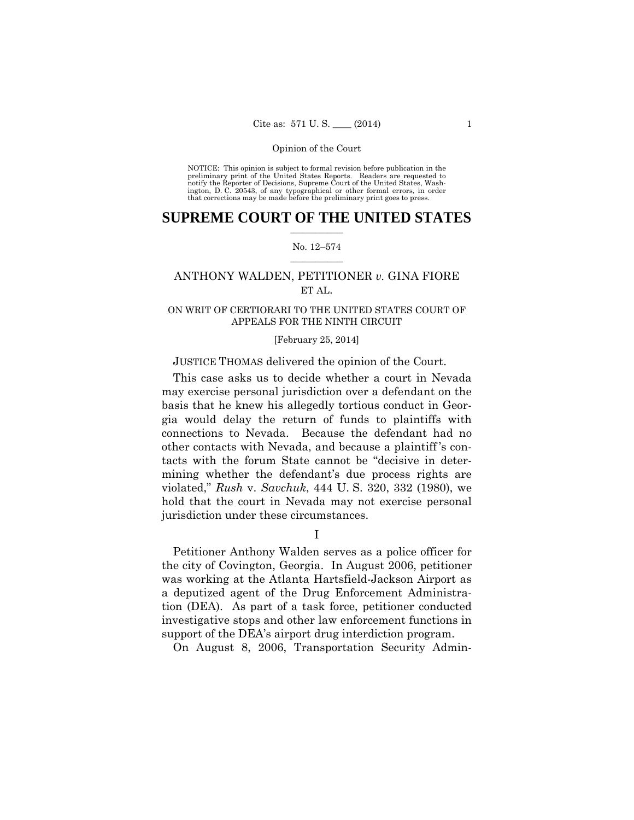preliminary print of the United States Reports. Readers are requested to notify the Reporter of Decisions, Supreme Court of the United States, Wash- ington, D. C. 20543, of any typographical or other formal errors, in order that corrections may be made before the preliminary print goes to press. NOTICE: This opinion is subject to formal revision before publication in the

## $\frac{1}{2}$  ,  $\frac{1}{2}$  ,  $\frac{1}{2}$  ,  $\frac{1}{2}$  ,  $\frac{1}{2}$  ,  $\frac{1}{2}$  ,  $\frac{1}{2}$ **SUPREME COURT OF THE UNITED STATES**

### $\frac{1}{2}$  ,  $\frac{1}{2}$  ,  $\frac{1}{2}$  ,  $\frac{1}{2}$  ,  $\frac{1}{2}$  ,  $\frac{1}{2}$ No. 12–574

# ANTHONY WALDEN, PETITIONER *v.* GINA FIORE ET AL.

# ON WRIT OF CERTIORARI TO THE UNITED STATES COURT OF APPEALS FOR THE NINTH CIRCUIT

### [February 25, 2014]

## JUSTICE THOMAS delivered the opinion of the Court.

This case asks us to decide whether a court in Nevada may exercise personal jurisdiction over a defendant on the basis that he knew his allegedly tortious conduct in Georgia would delay the return of funds to plaintiffs with connections to Nevada. Because the defendant had no other contacts with Nevada, and because a plaintiff 's contacts with the forum State cannot be "decisive in determining whether the defendant's due process rights are violated," *Rush* v. *Savchuk*, 444 U. S. 320, 332 (1980), we hold that the court in Nevada may not exercise personal jurisdiction under these circumstances.

I

Petitioner Anthony Walden serves as a police officer for the city of Covington, Georgia. In August 2006, petitioner was working at the Atlanta Hartsfield-Jackson Airport as a deputized agent of the Drug Enforcement Administration (DEA). As part of a task force, petitioner conducted investigative stops and other law enforcement functions in support of the DEA's airport drug interdiction program.

On August 8, 2006, Transportation Security Admin-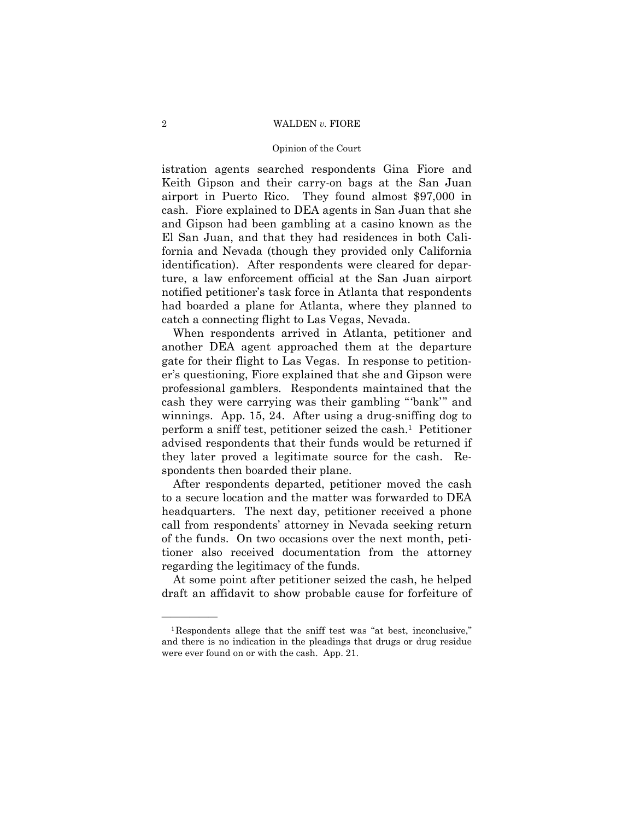### Opinion of the Court

istration agents searched respondents Gina Fiore and Keith Gipson and their carry-on bags at the San Juan airport in Puerto Rico. They found almost \$97,000 in cash. Fiore explained to DEA agents in San Juan that she and Gipson had been gambling at a casino known as the El San Juan, and that they had residences in both California and Nevada (though they provided only California identification). After respondents were cleared for departure, a law enforcement official at the San Juan airport notified petitioner's task force in Atlanta that respondents had boarded a plane for Atlanta, where they planned to catch a connecting flight to Las Vegas, Nevada.

When respondents arrived in Atlanta, petitioner and another DEA agent approached them at the departure gate for their flight to Las Vegas. In response to petitioner's questioning, Fiore explained that she and Gipson were professional gamblers. Respondents maintained that the cash they were carrying was their gambling "'bank'" and winnings. App. 15, 24. After using a drug-sniffing dog to perform a sniff test, petitioner seized the cash.1 Petitioner advised respondents that their funds would be returned if they later proved a legitimate source for the cash. Respondents then boarded their plane.

After respondents departed, petitioner moved the cash to a secure location and the matter was forwarded to DEA headquarters. The next day, petitioner received a phone call from respondents' attorney in Nevada seeking return of the funds. On two occasions over the next month, petitioner also received documentation from the attorney regarding the legitimacy of the funds.

At some point after petitioner seized the cash, he helped draft an affidavit to show probable cause for forfeiture of

<sup>1</sup>Respondents allege that the sniff test was "at best, inconclusive," and there is no indication in the pleadings that drugs or drug residue were ever found on or with the cash. App. 21.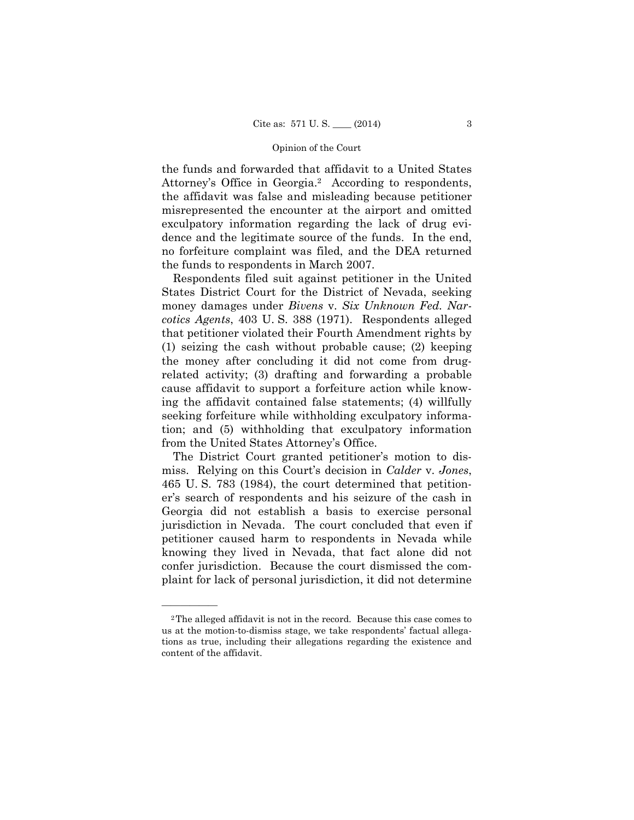the funds and forwarded that affidavit to a United States Attorney's Office in Georgia.2 According to respondents, the affidavit was false and misleading because petitioner misrepresented the encounter at the airport and omitted exculpatory information regarding the lack of drug evidence and the legitimate source of the funds. In the end, no forfeiture complaint was filed, and the DEA returned the funds to respondents in March 2007.

Respondents filed suit against petitioner in the United States District Court for the District of Nevada, seeking money damages under *Bivens* v. *Six Unknown Fed. Narcotics Agents*, 403 U. S. 388 (1971). Respondents alleged that petitioner violated their Fourth Amendment rights by (1) seizing the cash without probable cause; (2) keeping the money after concluding it did not come from drugrelated activity; (3) drafting and forwarding a probable cause affidavit to support a forfeiture action while knowing the affidavit contained false statements; (4) willfully seeking forfeiture while withholding exculpatory information; and (5) withholding that exculpatory information from the United States Attorney's Office.

The District Court granted petitioner's motion to dismiss. Relying on this Court's decision in *Calder* v. *Jones*, 465 U. S. 783 (1984), the court determined that petitioner's search of respondents and his seizure of the cash in Georgia did not establish a basis to exercise personal jurisdiction in Nevada. The court concluded that even if petitioner caused harm to respondents in Nevada while knowing they lived in Nevada, that fact alone did not confer jurisdiction. Because the court dismissed the complaint for lack of personal jurisdiction, it did not determine

<sup>2</sup>The alleged affidavit is not in the record. Because this case comes to us at the motion-to-dismiss stage, we take respondents' factual allegations as true, including their allegations regarding the existence and content of the affidavit.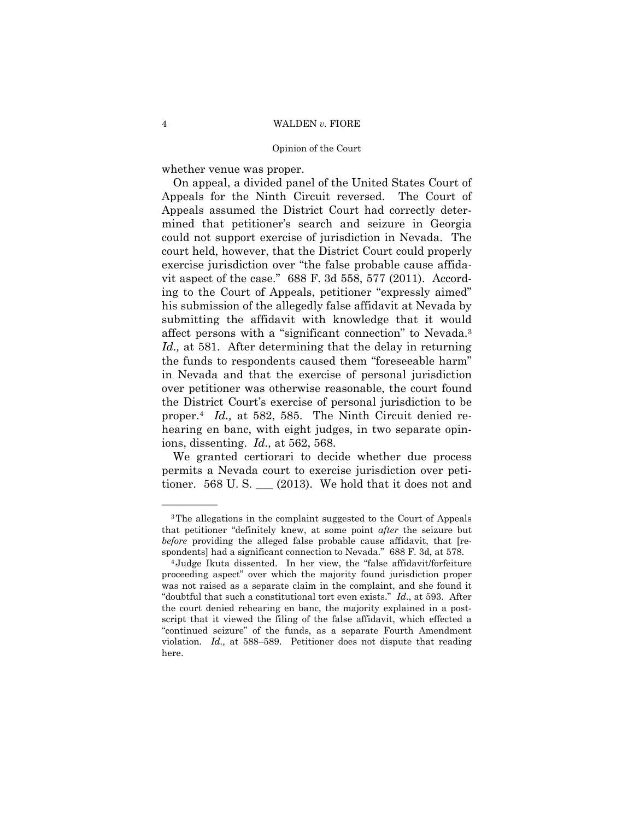whether venue was proper.

 affect persons with a "significant connection" to Nevada.3 proper.4 *Id.,* at 582, 585. The Ninth Circuit denied re-On appeal, a divided panel of the United States Court of Appeals for the Ninth Circuit reversed. The Court of Appeals assumed the District Court had correctly determined that petitioner's search and seizure in Georgia could not support exercise of jurisdiction in Nevada. The court held, however, that the District Court could properly exercise jurisdiction over "the false probable cause affidavit aspect of the case." 688 F. 3d 558, 577 (2011). According to the Court of Appeals, petitioner "expressly aimed" his submission of the allegedly false affidavit at Nevada by submitting the affidavit with knowledge that it would *Id.,* at 581. After determining that the delay in returning the funds to respondents caused them "foreseeable harm" in Nevada and that the exercise of personal jurisdiction over petitioner was otherwise reasonable, the court found the District Court's exercise of personal jurisdiction to be hearing en banc, with eight judges, in two separate opinions, dissenting. *Id.,* at 562, 568.

We granted certiorari to decide whether due process permits a Nevada court to exercise jurisdiction over petitioner. 568 U. S. \_\_\_ (2013). We hold that it does not and

<sup>3</sup>The allegations in the complaint suggested to the Court of Appeals that petitioner "definitely knew, at some point *after* the seizure but *before* providing the alleged false probable cause affidavit, that [re-

spondents] had a significant connection to Nevada." 688 F. 3d, at 578. 4 Judge Ikuta dissented. In her view, the "false affidavit/forfeiture proceeding aspect" over which the majority found jurisdiction proper was not raised as a separate claim in the complaint, and she found it "doubtful that such a constitutional tort even exists." *Id*., at 593. After the court denied rehearing en banc, the majority explained in a postscript that it viewed the filing of the false affidavit, which effected a "continued seizure" of the funds, as a separate Fourth Amendment violation. *Id.,* at 588–589. Petitioner does not dispute that reading here.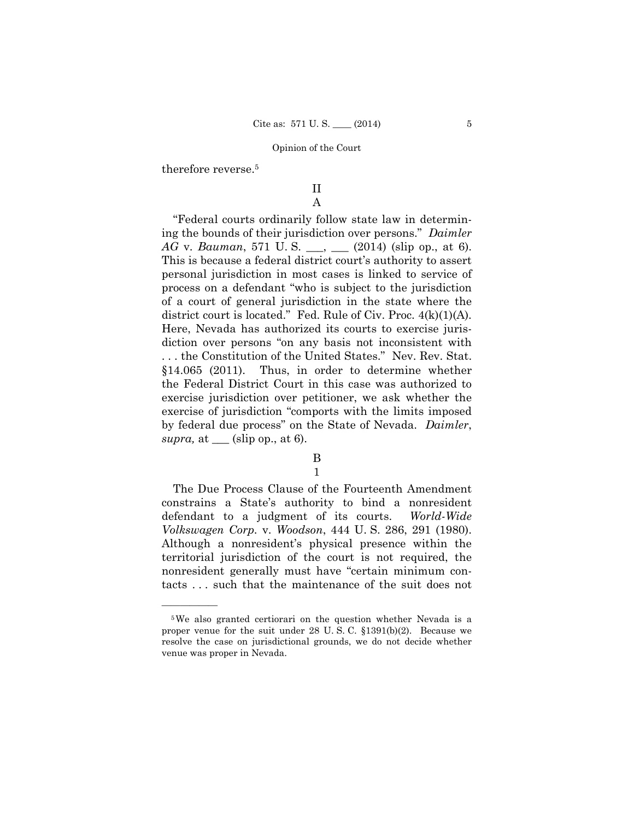therefore reverse.5

——————

# II A

*AG* v. *Bauman*, 571 U.S. \_\_, \_\_ (2014) (slip op., at 6). "Federal courts ordinarily follow state law in determining the bounds of their jurisdiction over persons." *Daimler*  This is because a federal district court's authority to assert personal jurisdiction in most cases is linked to service of process on a defendant "who is subject to the jurisdiction of a court of general jurisdiction in the state where the district court is located." Fed. Rule of Civ. Proc. 4(k)(1)(A). Here, Nevada has authorized its courts to exercise jurisdiction over persons "on any basis not inconsistent with . . . the Constitution of the United States." Nev. Rev. Stat. §14.065 (2011). Thus, in order to determine whether the Federal District Court in this case was authorized to exercise jurisdiction over petitioner, we ask whether the exercise of jurisdiction "comports with the limits imposed by federal due process" on the State of Nevada. *Daimler*, *supra,* at \_\_\_ (slip op., at 6).

# B 1

The Due Process Clause of the Fourteenth Amendment constrains a State's authority to bind a nonresident defendant to a judgment of its courts. *World-Wide Volkswagen Corp.* v. *Woodson*, 444 U. S. 286, 291 (1980). Although a nonresident's physical presence within the territorial jurisdiction of the court is not required, the nonresident generally must have "certain minimum contacts . . . such that the maintenance of the suit does not

<sup>5</sup>We also granted certiorari on the question whether Nevada is a proper venue for the suit under 28 U. S. C. §1391(b)(2). Because we resolve the case on jurisdictional grounds, we do not decide whether venue was proper in Nevada.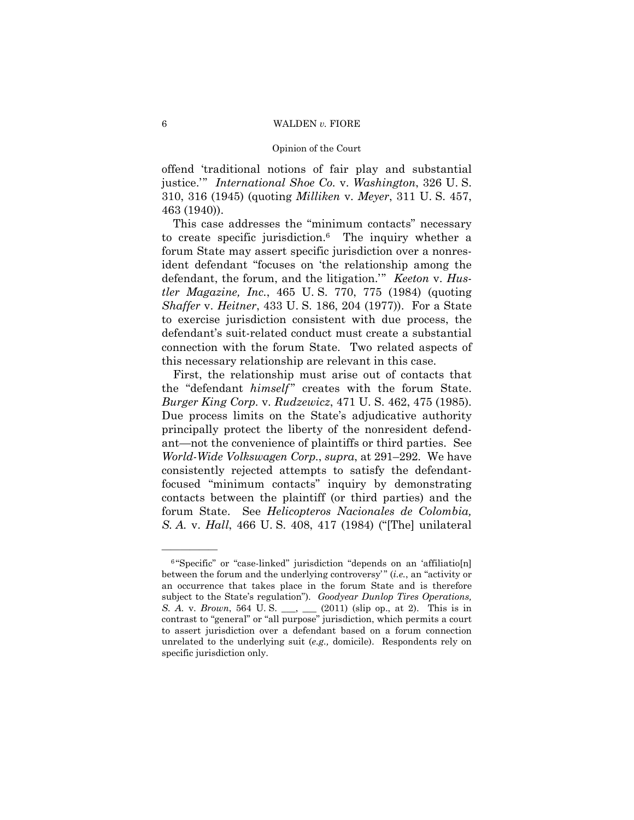offend 'traditional notions of fair play and substantial justice.'" *International Shoe Co.* v. *Washington*, 326 U. S. 310, 316 (1945) (quoting *Milliken* v. *Meyer*, 311 U. S. 457, 463 (1940)).

 to create specific jurisdiction.6 The inquiry whether a This case addresses the "minimum contacts" necessary forum State may assert specific jurisdiction over a nonresident defendant "focuses on 'the relationship among the defendant, the forum, and the litigation.'" *Keeton* v. *Hustler Magazine, Inc.*, 465 U. S. 770, 775 (1984) (quoting *Shaffer* v. *Heitner*, 433 U. S. 186, 204 (1977)). For a State to exercise jurisdiction consistent with due process, the defendant's suit-related conduct must create a substantial connection with the forum State. Two related aspects of this necessary relationship are relevant in this case.

the "defendant *himself*" creates with the forum State. First, the relationship must arise out of contacts that *Burger King Corp.* v. *Rudzewicz*, 471 U. S. 462, 475 (1985). Due process limits on the State's adjudicative authority principally protect the liberty of the nonresident defendant—not the convenience of plaintiffs or third parties. See *World-Wide Volkswagen Corp.*, *supra*, at 291–292. We have consistently rejected attempts to satisfy the defendantfocused "minimum contacts" inquiry by demonstrating contacts between the plaintiff (or third parties) and the forum State. See *Helicopteros Nacionales de Colombia, S. A.* v. *Hall*, 466 U. S. 408, 417 (1984) ("[The] unilateral

 contrast to "general" or "all purpose" jurisdiction, which permits a court <sup>6</sup>"Specific" or "case-linked" jurisdiction "depends on an 'affiliatio[n] between the forum and the underlying controversy' " (*i.e.*, an "activity or an occurrence that takes place in the forum State and is therefore subject to the State's regulation"). *Goodyear Dunlop Tires Operations, S. A. v. Brown*, 564 U. S. \_\_\_, \_\_\_ (2011) (slip op., at 2). This is in to assert jurisdiction over a defendant based on a forum connection unrelated to the underlying suit (*e.g.,* domicile). Respondents rely on specific jurisdiction only.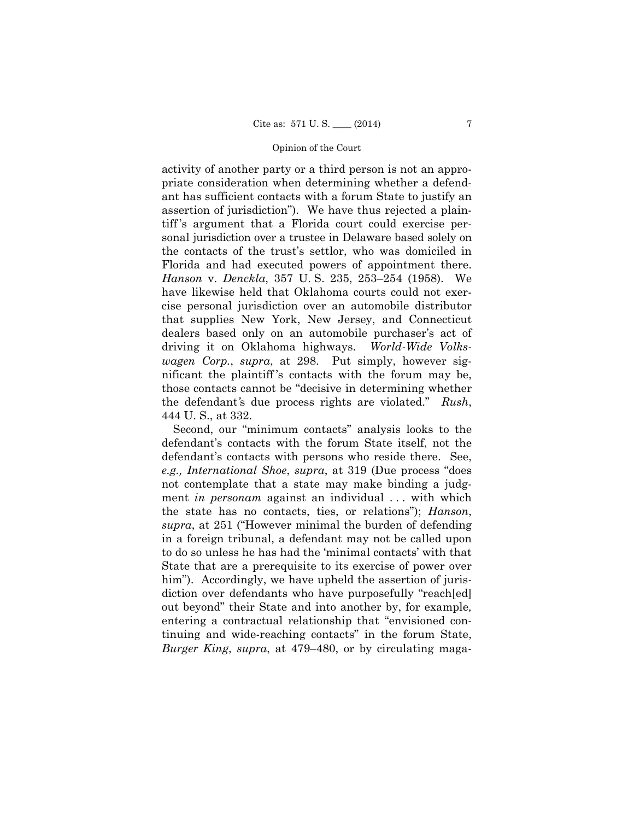sonal jurisdiction over a trustee in Delaware based solely on activity of another party or a third person is not an appropriate consideration when determining whether a defendant has sufficient contacts with a forum State to justify an assertion of jurisdiction"). We have thus rejected a plaintiff 's argument that a Florida court could exercise perthe contacts of the trust's settlor, who was domiciled in Florida and had executed powers of appointment there. *Hanson* v. *Denckla*, 357 U. S. 235, 253–254 (1958). We have likewise held that Oklahoma courts could not exercise personal jurisdiction over an automobile distributor that supplies New York, New Jersey, and Connecticut dealers based only on an automobile purchaser's act of driving it on Oklahoma highways. *World-Wide Volkswagen Corp.*, *supra*, at 298. Put simply, however significant the plaintiff 's contacts with the forum may be, those contacts cannot be "decisive in determining whether the defendant*'*s due process rights are violated." *Rush*, 444 U. S., at 332.

Second, our "minimum contacts" analysis looks to the defendant's contacts with the forum State itself, not the defendant's contacts with persons who reside there. See, *e.g., International Shoe*, *supra*, at 319 (Due process "does not contemplate that a state may make binding a judgment *in personam* against an individual . . . with which the state has no contacts, ties, or relations"); *Hanson*, *supra*, at 251 ("However minimal the burden of defending in a foreign tribunal, a defendant may not be called upon to do so unless he has had the 'minimal contacts' with that State that are a prerequisite to its exercise of power over him"). Accordingly, we have upheld the assertion of jurisdiction over defendants who have purposefully "reach[ed] out beyond" their State and into another by, for example*,*  entering a contractual relationship that "envisioned continuing and wide-reaching contacts" in the forum State, *Burger King*, *supra*, at 479–480, or by circulating maga-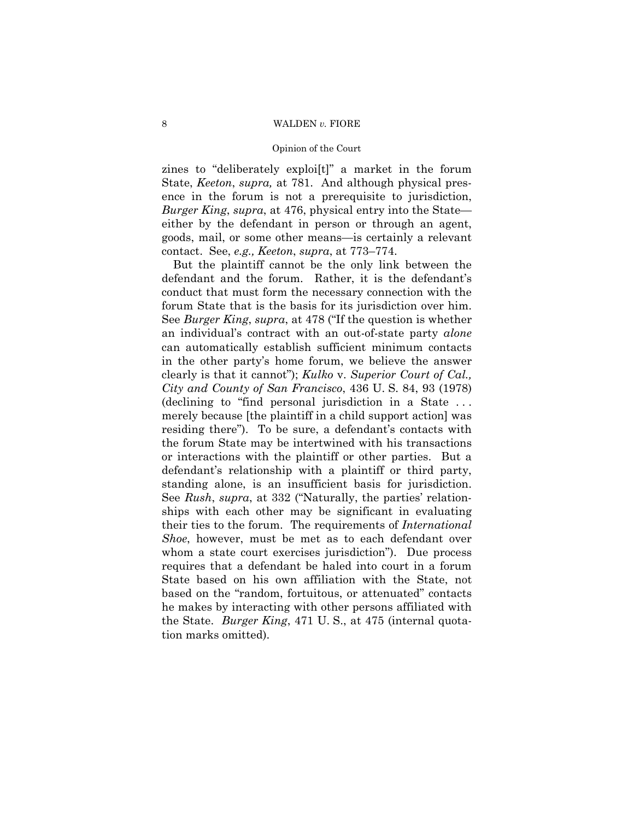### Opinion of the Court

zines to "deliberately exploi[t]" a market in the forum State, *Keeton*, *supra,* at 781. And although physical presence in the forum is not a prerequisite to jurisdiction, *Burger King*, *supra*, at 476, physical entry into the State either by the defendant in person or through an agent, goods, mail, or some other means—is certainly a relevant contact. See, *e.g., Keeton*, *supra*, at 773–774.

 standing alone, is an insufficient basis for jurisdiction. But the plaintiff cannot be the only link between the defendant and the forum. Rather, it is the defendant's conduct that must form the necessary connection with the forum State that is the basis for its jurisdiction over him. See *Burger King*, *supra*, at 478 ("If the question is whether an individual's contract with an out-of-state party *alone*  can automatically establish sufficient minimum contacts in the other party's home forum, we believe the answer clearly is that it cannot"); *Kulko* v. *Superior Court of Cal., City and County of San Francisco*, 436 U. S. 84, 93 (1978) (declining to "find personal jurisdiction in a State . . . merely because [the plaintiff in a child support action] was residing there"). To be sure, a defendant's contacts with the forum State may be intertwined with his transactions or interactions with the plaintiff or other parties. But a defendant's relationship with a plaintiff or third party, See *Rush*, *supra*, at 332 ("Naturally, the parties' relationships with each other may be significant in evaluating their ties to the forum. The requirements of *International Shoe*, however, must be met as to each defendant over whom a state court exercises jurisdiction"). Due process requires that a defendant be haled into court in a forum State based on his own affiliation with the State, not based on the "random, fortuitous, or attenuated" contacts he makes by interacting with other persons affiliated with the State. *Burger King*, 471 U. S., at 475 (internal quotation marks omitted).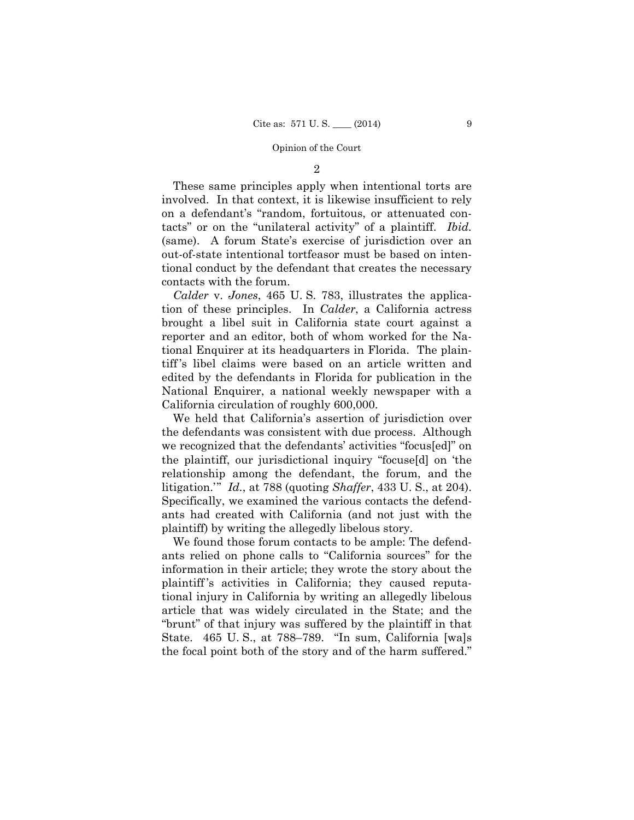### 2

These same principles apply when intentional torts are involved. In that context, it is likewise insufficient to rely on a defendant's "random, fortuitous, or attenuated contacts" or on the "unilateral activity" of a plaintiff. *Ibid.*  (same). A forum State's exercise of jurisdiction over an out-of-state intentional tortfeasor must be based on intentional conduct by the defendant that creates the necessary contacts with the forum.

*Calder* v. *Jones*, 465 U. S. 783, illustrates the application of these principles. In *Calder*, a California actress brought a libel suit in California state court against a reporter and an editor, both of whom worked for the National Enquirer at its headquarters in Florida. The plaintiff 's libel claims were based on an article written and edited by the defendants in Florida for publication in the National Enquirer, a national weekly newspaper with a California circulation of roughly 600,000.

We held that California's assertion of jurisdiction over the defendants was consistent with due process. Although we recognized that the defendants' activities "focus[ed]" on the plaintiff, our jurisdictional inquiry "focuse[d] on 'the relationship among the defendant, the forum, and the litigation.'" *Id.*, at 788 (quoting *Shaffer*, 433 U. S., at 204). Specifically, we examined the various contacts the defendants had created with California (and not just with the plaintiff) by writing the allegedly libelous story.

We found those forum contacts to be ample: The defendants relied on phone calls to "California sources" for the information in their article; they wrote the story about the plaintiff 's activities in California; they caused reputational injury in California by writing an allegedly libelous article that was widely circulated in the State; and the "brunt" of that injury was suffered by the plaintiff in that State. 465 U. S., at 788–789. "In sum, California [wa]s the focal point both of the story and of the harm suffered."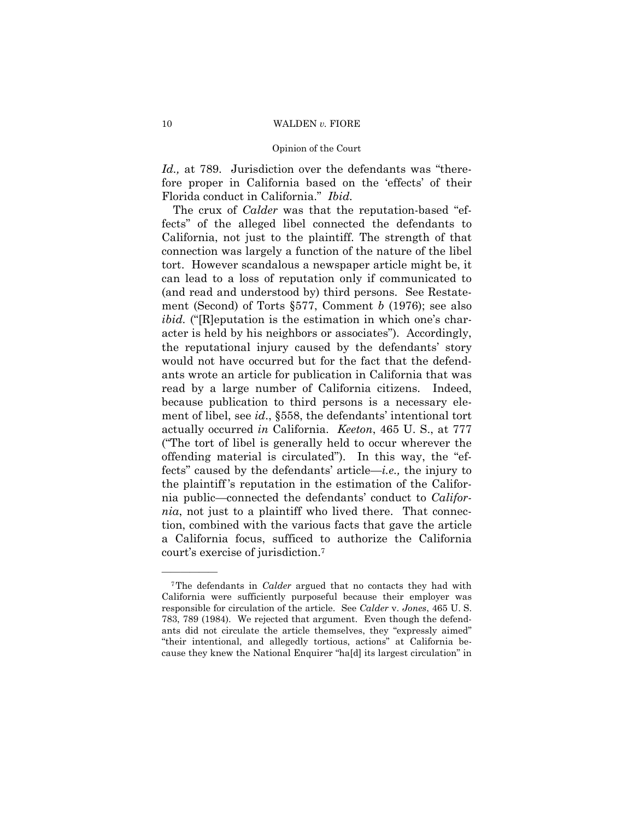### Opinion of the Court

*Id.,* at 789. Jurisdiction over the defendants was "therefore proper in California based on the 'effects' of their Florida conduct in California." *Ibid.* 

The crux of *Calder* was that the reputation-based "effects" of the alleged libel connected the defendants to California, not just to the plaintiff. The strength of that connection was largely a function of the nature of the libel tort. However scandalous a newspaper article might be, it can lead to a loss of reputation only if communicated to (and read and understood by) third persons. See Restatement (Second) of Torts §577, Comment *b* (1976); see also *ibid.* ("Reputation is the estimation in which one's character is held by his neighbors or associates"). Accordingly, the reputational injury caused by the defendants' story would not have occurred but for the fact that the defendants wrote an article for publication in California that was read by a large number of California citizens. Indeed, because publication to third persons is a necessary element of libel, see *id*., §558, the defendants' intentional tort actually occurred *in* California. *Keeton*, 465 U. S., at 777 ("The tort of libel is generally held to occur wherever the offending material is circulated"). In this way, the "effects" caused by the defendants' article—*i.e.,* the injury to the plaintiff 's reputation in the estimation of the California public—connected the defendants' conduct to *California*, not just to a plaintiff who lived there. That connection, combined with the various facts that gave the article a California focus, sufficed to authorize the California court's exercise of jurisdiction.7

<sup>7</sup>The defendants in *Calder* argued that no contacts they had with California were sufficiently purposeful because their employer was responsible for circulation of the article. See *Calder* v. *Jones*, 465 U. S. 783, 789 (1984). We rejected that argument. Even though the defendants did not circulate the article themselves, they "expressly aimed" "their intentional, and allegedly tortious, actions" at California because they knew the National Enquirer "ha[d] its largest circulation" in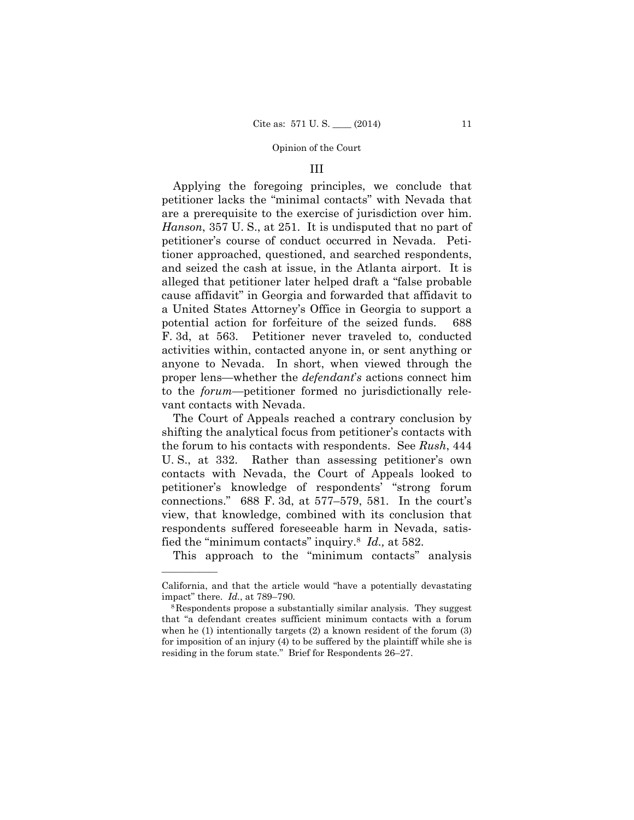### III

Applying the foregoing principles, we conclude that petitioner lacks the "minimal contacts" with Nevada that are a prerequisite to the exercise of jurisdiction over him. *Hanson*, 357 U. S., at 251. It is undisputed that no part of petitioner's course of conduct occurred in Nevada. Petitioner approached, questioned, and searched respondents, and seized the cash at issue, in the Atlanta airport. It is alleged that petitioner later helped draft a "false probable cause affidavit" in Georgia and forwarded that affidavit to a United States Attorney's Office in Georgia to support a potential action for forfeiture of the seized funds. 688 F. 3d, at 563. Petitioner never traveled to, conducted activities within, contacted anyone in, or sent anything or anyone to Nevada. In short, when viewed through the proper lens—whether the *defendant*'*s* actions connect him to the *forum*—petitioner formed no jurisdictionally relevant contacts with Nevada.

 fied the "minimum contacts" inquiry.8 *Id.,* at 582. The Court of Appeals reached a contrary conclusion by shifting the analytical focus from petitioner's contacts with the forum to his contacts with respondents. See *Rush*, 444 U. S., at 332. Rather than assessing petitioner's own contacts with Nevada, the Court of Appeals looked to petitioner's knowledge of respondents' "strong forum connections." 688 F. 3d, at 577–579, 581. In the court's view, that knowledge, combined with its conclusion that respondents suffered foreseeable harm in Nevada, satis-

This approach to the "minimum contacts" analysis

California, and that the article would "have a potentially devastating impact" there. *Id.*, at 789–790*.* 

<sup>8</sup>Respondents propose a substantially similar analysis. They suggest that "a defendant creates sufficient minimum contacts with a forum when he (1) intentionally targets (2) a known resident of the forum (3) for imposition of an injury (4) to be suffered by the plaintiff while she is residing in the forum state." Brief for Respondents 26–27.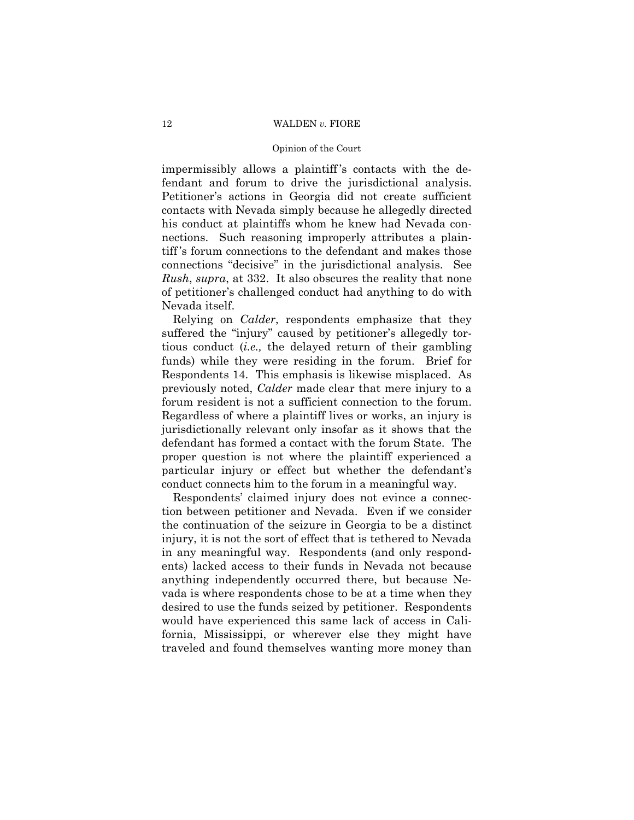### Opinion of the Court

impermissibly allows a plaintiff 's contacts with the defendant and forum to drive the jurisdictional analysis. Petitioner's actions in Georgia did not create sufficient contacts with Nevada simply because he allegedly directed his conduct at plaintiffs whom he knew had Nevada connections. Such reasoning improperly attributes a plaintiff 's forum connections to the defendant and makes those connections "decisive" in the jurisdictional analysis. See *Rush*, *supra*, at 332. It also obscures the reality that none of petitioner's challenged conduct had anything to do with Nevada itself.

Relying on *Calder*, respondents emphasize that they suffered the "injury" caused by petitioner's allegedly tortious conduct (*i.e.,* the delayed return of their gambling funds) while they were residing in the forum. Brief for Respondents 14. This emphasis is likewise misplaced. As previously noted, *Calder* made clear that mere injury to a forum resident is not a sufficient connection to the forum. Regardless of where a plaintiff lives or works, an injury is jurisdictionally relevant only insofar as it shows that the defendant has formed a contact with the forum State. The proper question is not where the plaintiff experienced a particular injury or effect but whether the defendant's conduct connects him to the forum in a meaningful way.

Respondents' claimed injury does not evince a connection between petitioner and Nevada. Even if we consider the continuation of the seizure in Georgia to be a distinct injury, it is not the sort of effect that is tethered to Nevada in any meaningful way. Respondents (and only respondents) lacked access to their funds in Nevada not because anything independently occurred there, but because Nevada is where respondents chose to be at a time when they desired to use the funds seized by petitioner. Respondents would have experienced this same lack of access in California, Mississippi, or wherever else they might have traveled and found themselves wanting more money than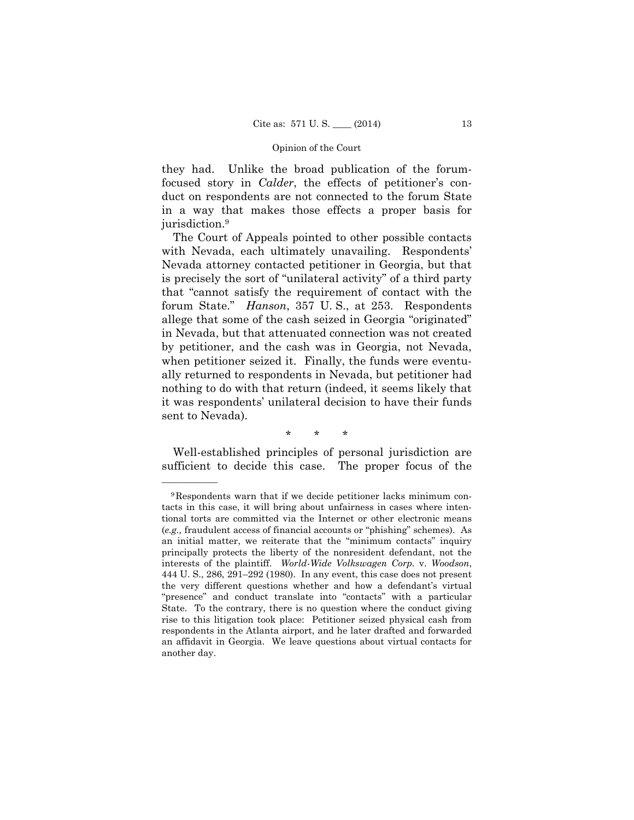they had. Unlike the broad publication of the forumfocused story in *Calder*, the effects of petitioner's conduct on respondents are not connected to the forum State in a way that makes those effects a proper basis for jurisdiction.<sup>9</sup>

The Court of Appeals pointed to other possible contacts with Nevada, each ultimately unavailing. Respondents' Nevada attorney contacted petitioner in Georgia, but that is precisely the sort of "unilateral activity" of a third party that "cannot satisfy the requirement of contact with the forum State." *Hanson*, 357 U. S., at 253. Respondents allege that some of the cash seized in Georgia "originated" in Nevada, but that attenuated connection was not created by petitioner, and the cash was in Georgia, not Nevada, when petitioner seized it. Finally, the funds were eventually returned to respondents in Nevada, but petitioner had nothing to do with that return (indeed, it seems likely that it was respondents' unilateral decision to have their funds sent to Nevada).

\* \* \*

Well-established principles of personal jurisdiction are sufficient to decide this case. The proper focus of the

<sup>9</sup>Respondents warn that if we decide petitioner lacks minimum contacts in this case, it will bring about unfairness in cases where intentional torts are committed via the Internet or other electronic means (*e.g.,* fraudulent access of financial accounts or "phishing" schemes). As an initial matter, we reiterate that the "minimum contacts" inquiry principally protects the liberty of the nonresident defendant, not the interests of the plaintiff. *World-Wide Volkswagen Corp.* v. *Woodson*, 444 U. S., 286, 291–292 (1980). In any event, this case does not present the very different questions whether and how a defendant's virtual "presence" and conduct translate into "contacts" with a particular State. To the contrary, there is no question where the conduct giving rise to this litigation took place: Petitioner seized physical cash from respondents in the Atlanta airport, and he later drafted and forwarded an affidavit in Georgia. We leave questions about virtual contacts for another day.